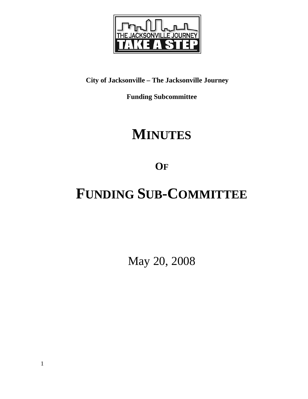

# **City of Jacksonville – The Jacksonville Journey**

**Funding Subcommittee** 

# **MINUTES**

**OF**

# **FUNDING SUB-COMMITTEE**

May 20, 2008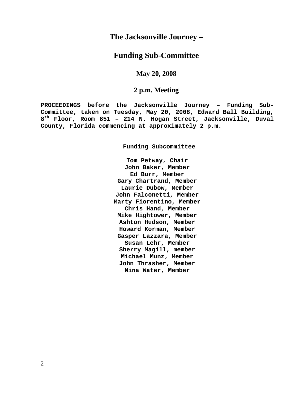## **The Jacksonville Journey –**

## **Funding Sub-Committee**

**May 20, 2008** 

## **2 p.m. Meeting**

**PROCEEDINGS before the Jacksonville Journey – Funding Sub-Committee, taken on Tuesday, May 20, 2008, Edward Ball Building, 8th Floor, Room 851 – 214 N. Hogan Street, Jacksonville, Duval County, Florida commencing at approximately 2 p.m.** 

**Funding Subcommittee** 

**Tom Petway, Chair John Baker, Member Ed Burr, Member Gary Chartrand, Member Laurie Dubow, Member John Falconetti, Member Marty Fiorentino, Member Chris Hand, Member Mike Hightower, Member Ashton Hudson, Member Howard Korman, Member Gasper Lazzara, Member Susan Lehr, Member Sherry Magill, member Michael Munz, Member John Thrasher, Member Nina Water, Member**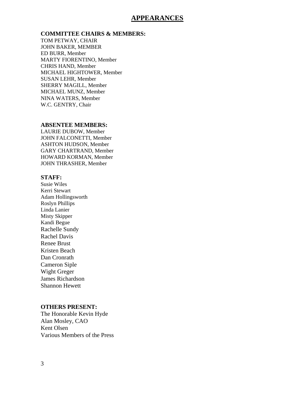## **APPEARANCES**

#### **COMMITTEE CHAIRS & MEMBERS:**

TOM PETWAY, CHAIR JOHN BAKER, MEMBER ED BURR, Member MARTY FIORENTINO, Member CHRIS HAND, Member MICHAEL HIGHTOWER, Member SUSAN LEHR, Member SHERRY MAGILL, Member MICHAEL MUNZ, Member NINA WATERS, Member W.C. GENTRY, Chair

### **ABSENTEE MEMBERS:**

LAURIE DUBOW, Member JOHN FALCONETTI, Member ASHTON HUDSON, Member GARY CHARTRAND, Member HOWARD KORMAN, Member JOHN THRASHER, Member

### **STAFF:**

Susie Wiles Kerri Stewart Adam Hollingsworth Roslyn Phillips Linda Lanier Misty Skipper Kandi Begue Rachelle Sundy Rachel Davis Renee Brust Kristen Beach Dan Cronrath Cameron Siple Wight Greger James Richardson Shannon Hewett

#### **OTHERS PRESENT:**

The Honorable Kevin Hyde Alan Mosley, CAO Kent Olsen Various Members of the Press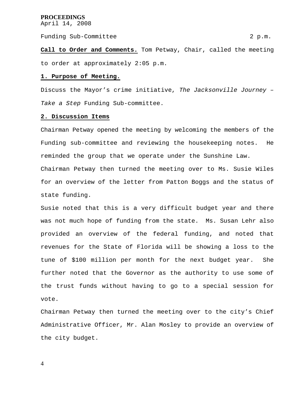Funding Sub-Committee 2 p.m.

**Call to Order and Comments.** Tom Petway, Chair, called the meeting to order at approximately 2:05 p.m.

#### **1. Purpose of Meeting.**

Discuss the Mayor's crime initiative, *The Jacksonville Journey – Take a Step* Funding Sub-committee.

#### **2. Discussion Items**

Chairman Petway opened the meeting by welcoming the members of the Funding sub-committee and reviewing the housekeeping notes. He reminded the group that we operate under the Sunshine Law.

Chairman Petway then turned the meeting over to Ms. Susie Wiles for an overview of the letter from Patton Boggs and the status of state funding.

Susie noted that this is a very difficult budget year and there was not much hope of funding from the state. Ms. Susan Lehr also provided an overview of the federal funding, and noted that revenues for the State of Florida will be showing a loss to the tune of \$100 million per month for the next budget year. She further noted that the Governor as the authority to use some of the trust funds without having to go to a special session for vote.

Chairman Petway then turned the meeting over to the city's Chief Administrative Officer, Mr. Alan Mosley to provide an overview of the city budget.

4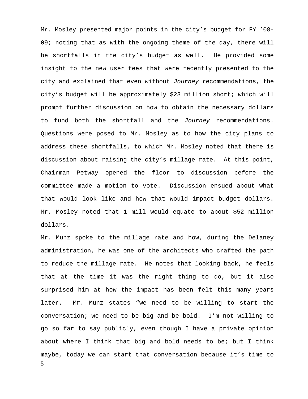Mr. Mosley presented major points in the city's budget for FY '08- 09; noting that as with the ongoing theme of the day, there will be shortfalls in the city's budget as well. He provided some insight to the new user fees that were recently presented to the city and explained that even without *Journey* recommendations, the city's budget will be approximately \$23 million short; which will prompt further discussion on how to obtain the necessary dollars to fund both the shortfall and the *Journey* recommendations. Questions were posed to Mr. Mosley as to how the city plans to address these shortfalls, to which Mr. Mosley noted that there is discussion about raising the city's millage rate. At this point, Chairman Petway opened the floor to discussion before the committee made a motion to vote. Discussion ensued about what that would look like and how that would impact budget dollars. Mr. Mosley noted that 1 mill would equate to about \$52 million dollars.

5 Mr. Munz spoke to the millage rate and how, during the Delaney administration, he was one of the architects who crafted the path to reduce the millage rate. He notes that looking back, he feels that at the time it was the right thing to do, but it also surprised him at how the impact has been felt this many years later. Mr. Munz states "we need to be willing to start the conversation; we need to be big and be bold. I'm not willing to go so far to say publicly, even though I have a private opinion about where I think that big and bold needs to be; but I think maybe, today we can start that conversation because it's time to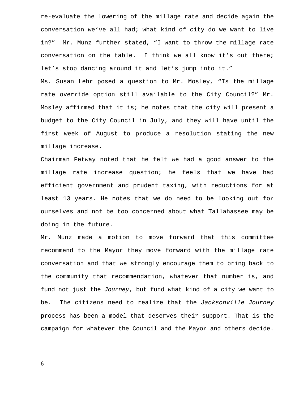re-evaluate the lowering of the millage rate and decide again the conversation we've all had; what kind of city do we want to live in?" Mr. Munz further stated, "I want to throw the millage rate conversation on the table. I think we all know it's out there; let's stop dancing around it and let's jump into it."

Ms. Susan Lehr posed a question to Mr. Mosley, "Is the millage rate override option still available to the City Council?" Mr. Mosley affirmed that it is; he notes that the city will present a budget to the City Council in July, and they will have until the first week of August to produce a resolution stating the new millage increase.

Chairman Petway noted that he felt we had a good answer to the millage rate increase question; he feels that we have had efficient government and prudent taxing, with reductions for at least 13 years. He notes that we do need to be looking out for ourselves and not be too concerned about what Tallahassee may be doing in the future.

Mr. Munz made a motion to move forward that this committee recommend to the Mayor they move forward with the millage rate conversation and that we strongly encourage them to bring back to the community that recommendation, whatever that number is, and fund not just the *Journey*, but fund what kind of a city we want to be. The citizens need to realize that the *Jacksonville Journey* process has been a model that deserves their support. That is the campaign for whatever the Council and the Mayor and others decide.

6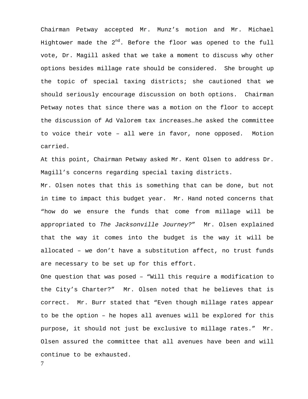Chairman Petway accepted Mr. Munz's motion and Mr. Michael Hightower made the  $2^{nd}$ . Before the floor was opened to the full vote, Dr. Magill asked that we take a moment to discuss why other options besides millage rate should be considered. She brought up the topic of special taxing districts; she cautioned that we should seriously encourage discussion on both options. Chairman Petway notes that since there was a motion on the floor to accept the discussion of Ad Valorem tax increases…he asked the committee to voice their vote – all were in favor, none opposed. Motion carried.

At this point, Chairman Petway asked Mr. Kent Olsen to address Dr. Magill's concerns regarding special taxing districts.

Mr. Olsen notes that this is something that can be done, but not in time to impact this budget year. Mr. Hand noted concerns that "how do we ensure the funds that come from millage will be appropriated to *The Jacksonville Journey?*" Mr. Olsen explained that the way it comes into the budget is the way it will be allocated – we don't have a substitution affect, no trust funds are necessary to be set up for this effort.

One question that was posed – "Will this require a modification to the City's Charter?" Mr. Olsen noted that he believes that is correct. Mr. Burr stated that "Even though millage rates appear to be the option – he hopes all avenues will be explored for this purpose, it should not just be exclusive to millage rates." Mr. Olsen assured the committee that all avenues have been and will continue to be exhausted.

7